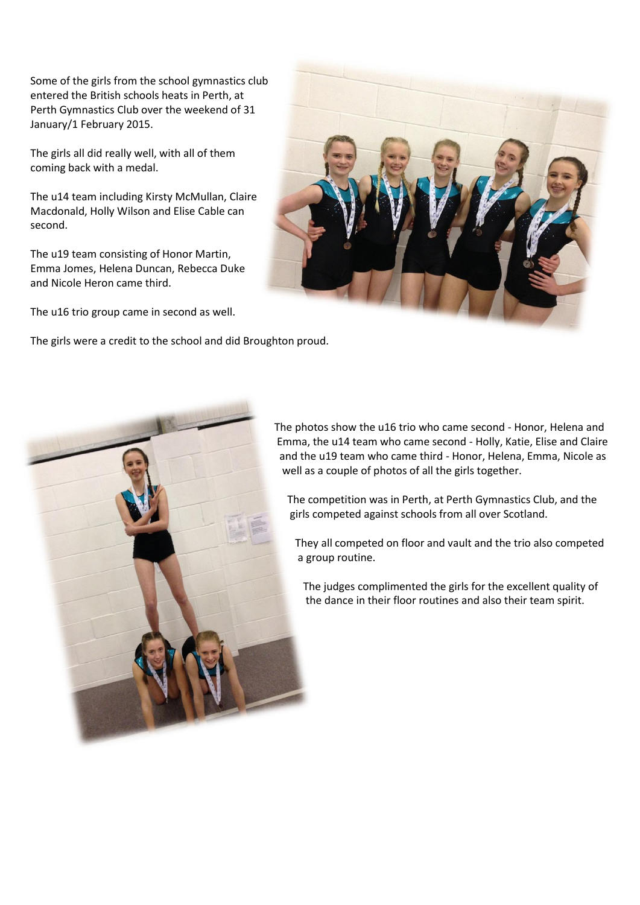Some of the girls from the school gymnastics club entered the British schools heats in Perth, at Perth Gymnastics Club over the weekend of 31 January/1 February 2015.

The girls all did really well, with all of them coming back with a medal.

The u14 team including Kirsty McMullan, Claire Macdonald, Holly Wilson and Elise Cable can second.

The u19 team consisting of Honor Martin, Emma Jomes, Helena Duncan, Rebecca Duke and Nicole Heron came third.

The u16 trio group came in second as well.

The girls were a credit to the school and did Broughton proud.





The photos show the u16 trio who came second - Honor, Helena and Emma, the u14 team who came second - Holly, Katie, Elise and Claire and the u19 team who came third - Honor, Helena, Emma, Nicole as well as a couple of photos of all the girls together.

The competition was in Perth, at Perth Gymnastics Club, and the girls competed against schools from all over Scotland.

They all competed on floor and vault and the trio also competed a group routine.

The judges complimented the girls for the excellent quality of the dance in their floor routines and also their team spirit.